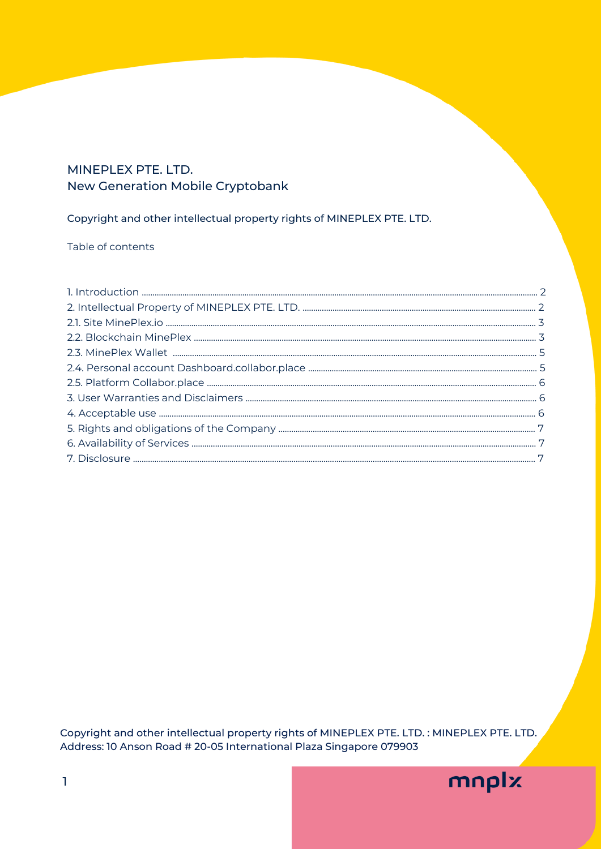# MINEPLEX PTE. LTD. New Generation Mobile Cryptobank

# Copyright and other intellectual property rights of MINEPLEX PTE. LTD.

## Table of contents

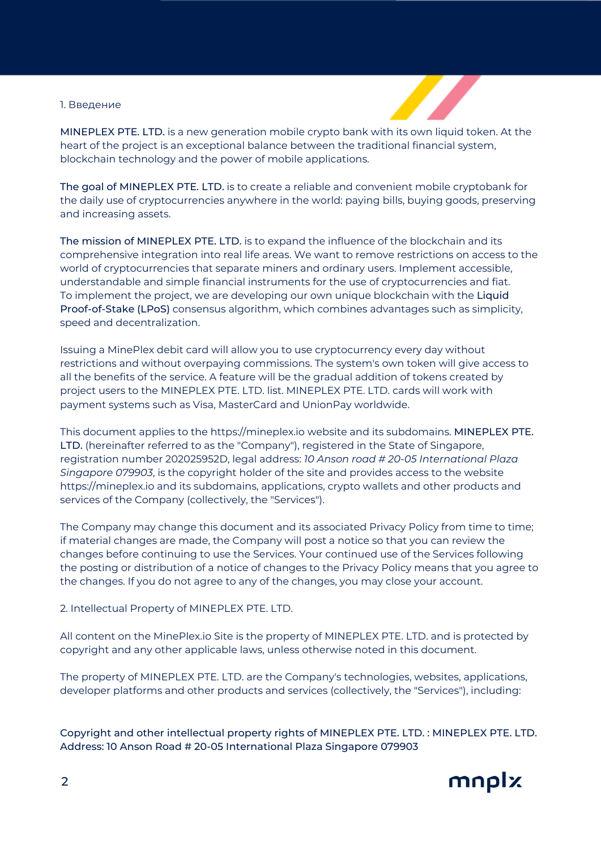#### 1. Введение



MINEPLEX PTE. LTD. is a new generation mobile crypto bank with its own liquid token. At the heart of the project is an exceptional balance between the traditional financial system, blockchain technology and the power of mobile applications.

The goal of MINEPLEX PTE. LTD. is to create a reliable and convenient mobile cryptobank for the daily use of cryptocurrencies anywhere in the world: paying bills, buying goods, preserving and increasing assets.

The mission of MINEPLEX PTE. LTD. is to expand the influence of the blockchain and its comprehensive integration into real life areas. We want to remove restrictions on access to the world of cryptocurrencies that separate miners and ordinary users. Implement accessible, understandable and simple financial instruments for the use of cryptocurrencies and fiat. To implement the project, we are developing our own unique blockchain with the Liquid Proof-of-Stake (LPoS) consensus algorithm, which combines advantages such as simplicity, speed and decentralization.

Issuing a MinePlex debit card will allow you to use cryptocurrency every day without restrictions and without overpaying commissions. The system's own token will give access to all the benefits of the service. A feature will be the gradual addition of tokens created by project users to the MINEPLEX PTE. LTD. list. MINEPLEX PTE. LTD. cards will work with payment systems such as Visa, MasterCard and UnionPay worldwide.

This document applies to the https://mineplex.io website and its subdomains. MINEPLEX PTE. LTD. (hereinafter referred to as the "Company"), registered in the State of Singapore, registration number 202025952D, legal address: *10 Anson road # 20-05 International Plaza Singapore 079903*, is the copyright holder of the site and provides access to the website https://mineplex.io and its subdomains, applications, crypto wallets and other products and services of the Company (collectively, the "Services").

The Company may change this document and its associated Privacy Policy from time to time; if material changes are made, the Company will post a notice so that you can review the changes before continuing to use the Services. Your continued use of the Services following the posting or distribution of a notice of changes to the Privacy Policy means that you agree to the changes. If you do not agree to any of the changes, you may close your account.

2. Intellectual Property of MINEPLEX PTE. LTD.

All content on the MinePlex.io Site is the property of MINEPLEX PTE. LTD. and is protected by copyright and any other applicable laws, unless otherwise noted in this document.

The property of MINEPLEX PTE. LTD. are the Company's technologies, websites, applications, developer platforms and other products and services (collectively, the "Services"), including:

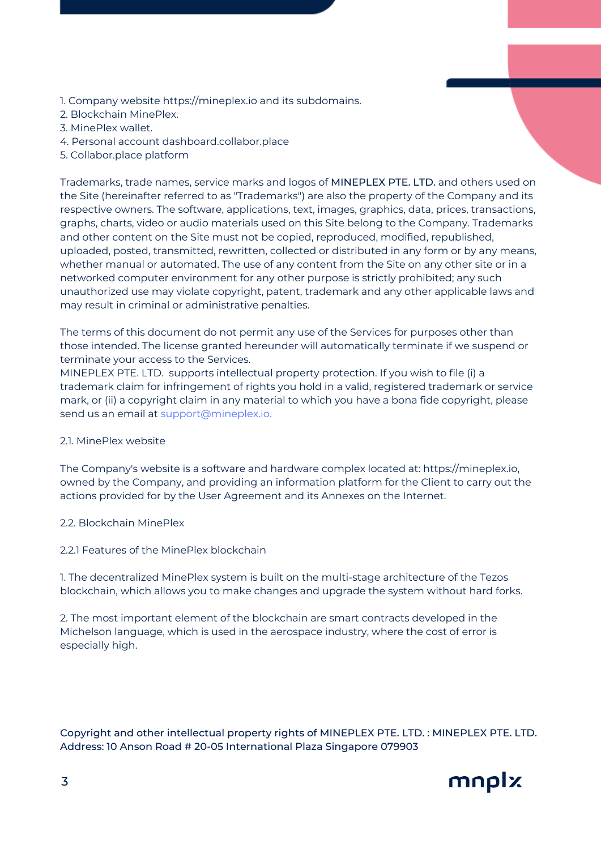- 1. Company website https://mineplex.io and its subdomains.
- 2. Blockchain MinePlex.
- 3. MinePlex wallet.
- 4. Personal account dashboard.collabor.place
- 5. Collabor.place platform

Trademarks, trade names, service marks and logos of MINEPLEX PTE. LTD. and others used on the Site (hereinafter referred to as "Trademarks") are also the property of the Company and its respective owners. The software, applications, text, images, graphics, data, prices, transactions, graphs, charts, video or audio materials used on this Site belong to the Company. Trademarks and other content on the Site must not be copied, reproduced, modified, republished, uploaded, posted, transmitted, rewritten, collected or distributed in any form or by any means, whether manual or automated. The use of any content from the Site on any other site or in a networked computer environment for any other purpose is strictly prohibited; any such unauthorized use may violate copyright, patent, trademark and any other applicable laws and may result in criminal or administrative penalties.

The terms of this document do not permit any use of the Services for purposes other than those intended. The license granted hereunder will automatically terminate if we suspend or terminate your access to the Services.

MINEPLEX PTE. LTD. supports intellectual property protection. If you wish to file (i) a trademark claim for infringement of rights you hold in a valid, registered trademark or service mark, or (ii) a copyright claim in any material to which you have a bona fide copyright, please send us an email at support@mineplex.io.

# 2.1. MinePlex website

The Company's website is a software and hardware complex located at: https://mineplex.io, owned by the Company, and providing an information platform for the Client to carry out the actions provided for by the User Agreement and its Annexes on the Internet.

- 2.2. Blockchain MinePlex
- 2.2.1 Features of the MinePlex blockchain

1. The decentralized MinePlex system is built on the multi-stage architecture of the Tezos blockchain, which allows you to make changes and upgrade the system without hard forks.

2. The most important element of the blockchain are smart contracts developed in the Michelson language, which is used in the aerospace industry, where the cost of error is especially high.

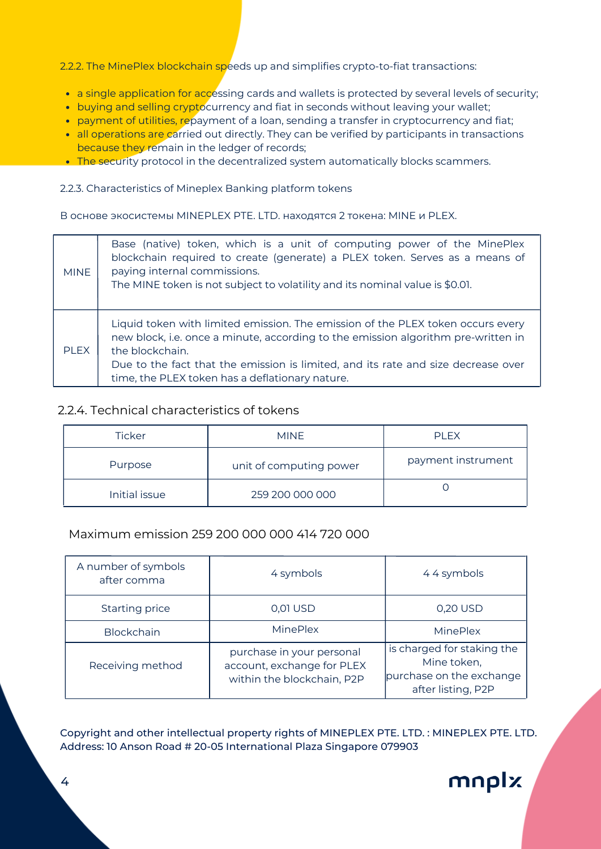2.2.2. The MinePlex blockchain speeds up and simplifies crypto-to-fiat transactions:

- a single application for accessing cards and wallets is protected by several levels of security;
- buying and selling cryptocurrency and fiat in seconds without leaving your wallet;
- payment of utilities, repayment of a loan, sending a transfer in cryptocurrency and fiat;
- all operations are carried out directly. They can be verified by participants in transactions because they remain in the ledger of records;
- The security protocol in the decentralized system automatically blocks scammers.

#### 2.2.3. Characteristics of Mineplex Banking platform tokens

В основе экосистемы MINEPLEX PTE. LTD. находятся 2 токена: MINE и PLEX.

| <b>MINE</b> | Base (native) token, which is a unit of computing power of the MinePlex<br>blockchain required to create (generate) a PLEX token. Serves as a means of<br>paying internal commissions.<br>The MINE token is not subject to volatility and its nominal value is \$0.01.                                                          |
|-------------|---------------------------------------------------------------------------------------------------------------------------------------------------------------------------------------------------------------------------------------------------------------------------------------------------------------------------------|
| PI FX       | Liquid token with limited emission. The emission of the PLEX token occurs every<br>new block, i.e. once a minute, according to the emission algorithm pre-written in<br>the blockchain.<br>Due to the fact that the emission is limited, and its rate and size decrease over<br>time, the PLEX token has a deflationary nature. |

# 2.2.4. Technical characteristics of tokens

| <b>Ticker</b> | <b>MINF</b>             | <b>PIFX</b>        |  |
|---------------|-------------------------|--------------------|--|
| Purpose       | unit of computing power | payment instrument |  |
| Initial issue | 259 200 000 000         |                    |  |

# Maximum emission 259 200 000 000 414 720 000

| A number of symbols<br>after comma | 4 symbols                                                                             | 44 symbols                                                                                  |  |
|------------------------------------|---------------------------------------------------------------------------------------|---------------------------------------------------------------------------------------------|--|
| Starting price                     | 0,01 USD                                                                              | 0,20 USD                                                                                    |  |
| <b>Blockchain</b>                  | MinePlex                                                                              | MinePlex                                                                                    |  |
| Receiving method                   | purchase in your personal<br>account, exchange for PLEX<br>within the blockchain, P2P | is charged for staking the<br>Mine token,<br>purchase on the exchange<br>after listing, P2P |  |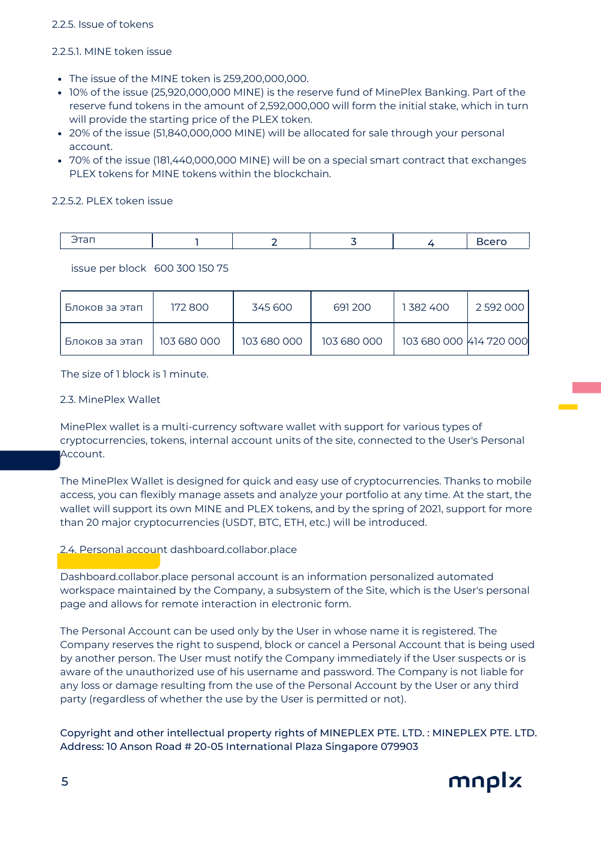## 2.2.5. Issue of tokens

## 2.2.5.1. MINE token issue

- The issue of the MINE token is 259,200,000,000.
- 10% of the issue (25,920,000,000 MINE) is the reserve fund of MinePlex Banking. Part of the reserve fund tokens in the amount of 2,592,000,000 will form the initial stake, which in turn will provide the starting price of the PLEX token.
- 20% of the issue (51,840,000,000 MINE) will be allocated for sale through your personal account.
- 70% of the issue (181,440,000,000 MINE) will be on a special smart contract that exchanges PLEX tokens for MINE tokens within the blockchain.

## 2.2.5.2. PLEX token issue

|  |  |  | -- |
|--|--|--|----|
|  |  |  |    |

issue per block 600 300 150 75

| Блоков за этап | 172800      | 345 600     | 691200      | 1382400                 | 2 592 000 |
|----------------|-------------|-------------|-------------|-------------------------|-----------|
| Блоков за этап | 103 680 000 | 103 680 000 | 103 680 000 | 103 680 000 K14 720 000 |           |

The size of 1 block is 1 minute.

## 2.3. MinePlex Wallet

MinePlex wallet is a multi-currency software wallet with support for various types of cryptocurrencies, tokens, internal account units of the site, connected to the User's Personal Account.

The MinePlex Wallet is designed for quick and easy use of cryptocurrencies. Thanks to mobile access, you can flexibly manage assets and analyze your portfolio at any time. At the start, the wallet will support its own MINE and PLEX tokens, and by the spring of 2021, support for more than 20 major cryptocurrencies (USDT, BTC, ETH, etc.) will be introduced.

# 2.4. Personal account dashboard.collabor.place

Dashboard.collabor.place personal account is an information personalized automated workspace maintained by the Company, a subsystem of the Site, which is the User's personal page and allows for remote interaction in electronic form.

The Personal Account can be used only by the User in whose name it is registered. The Company reserves the right to suspend, block or cancel a Personal Account that is being used by another person. The User must notify the Company immediately if the User suspects or is aware of the unauthorized use of his username and password. The Company is not liable for any loss or damage resulting from the use of the Personal Account by the User or any third party (regardless of whether the use by the User is permitted or not).

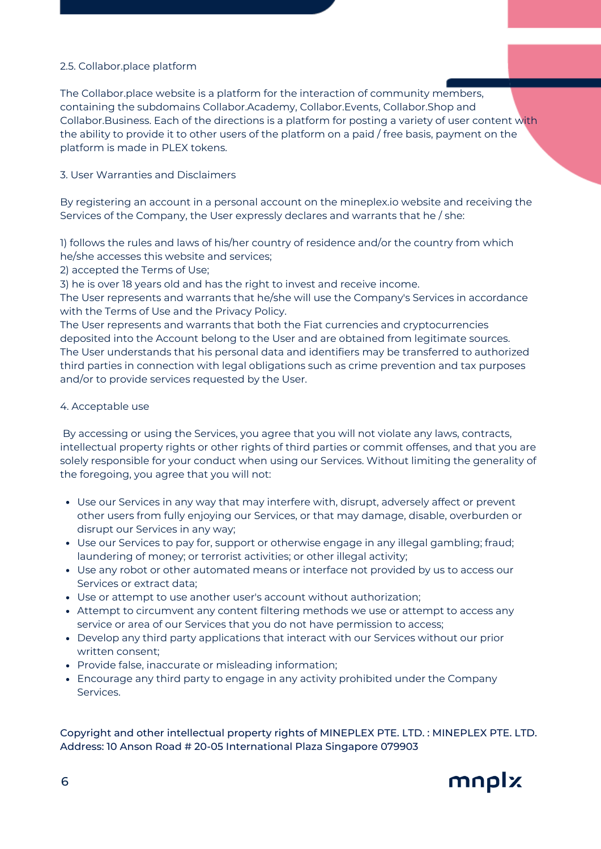# 2.5. Collabor.place platform

The Collabor.place website is a platform for the interaction of community members, containing the subdomains Collabor.Academy, Collabor.Events, Collabor.Shop and Collabor.Business. Each of the directions is a platform for posting a variety of user content with the ability to provide it to other users of the platform on a paid / free basis, payment on the platform is made in PLEX tokens.

#### 3. User Warranties and Disclaimers

By registering an account in a personal account on the mineplex.io website and receiving the Services of the Company, the User expressly declares and warrants that he / she:

1) follows the rules and laws of his/her country of residence and/or the country from which he/she accesses this website and services;

2) accepted the Terms of Use;

3) he is over 18 years old and has the right to invest and receive income.

The User represents and warrants that he/she will use the Company's Services in accordance with the Terms of Use and the Privacy Policy.

The User represents and warrants that both the Fiat currencies and cryptocurrencies deposited into the Account belong to the User and are obtained from legitimate sources. The User understands that his personal data and identifiers may be transferred to authorized third parties in connection with legal obligations such as crime prevention and tax purposes and/or to provide services requested by the User.

#### 4. Acceptable use

By accessing or using the Services, you agree that you will not violate any laws, contracts, intellectual property rights or other rights of third parties or commit offenses, and that you are solely responsible for your conduct when using our Services. Without limiting the generality of the foregoing, you agree that you will not:

- Use our Services in any way that may interfere with, disrupt, adversely affect or prevent other users from fully enjoying our Services, or that may damage, disable, overburden or disrupt our Services in any way;
- Use our Services to pay for, support or otherwise engage in any illegal gambling; fraud; laundering of money; or terrorist activities; or other illegal activity;
- Use any robot or other automated means or interface not provided by us to access our Services or extract data;
- Use or attempt to use another user's account without authorization;
- Attempt to circumvent any content filtering methods we use or attempt to access any service or area of our Services that you do not have permission to access;
- Develop any third party applications that interact with our Services without our prior written consent;
- Provide false, inaccurate or misleading information;
- Encourage any third party to engage in any activity prohibited under the Company Services.

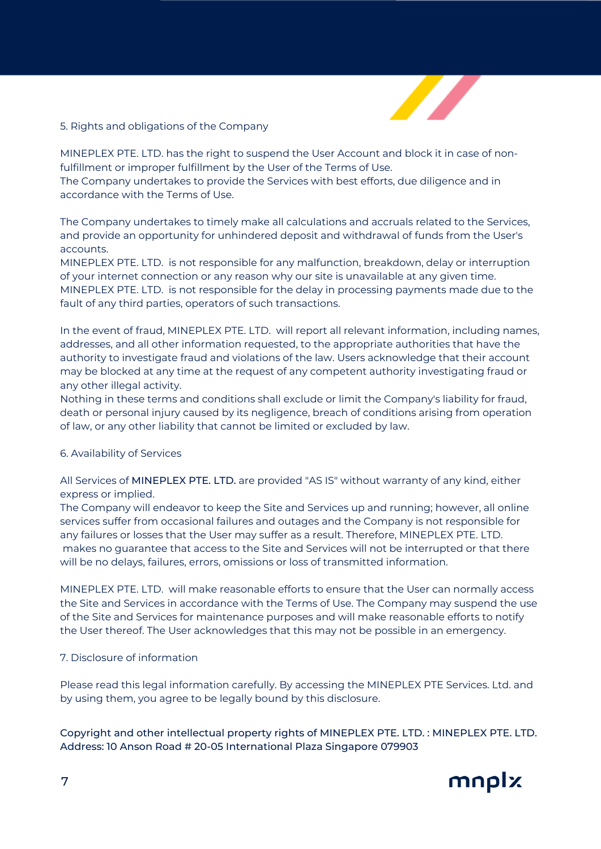

## 5. Rights and obligations of the Company

MINEPLEX PTE. LTD. has the right to suspend the User Account and block it in case of nonfulfillment or improper fulfillment by the User of the Terms of Use.

The Company undertakes to provide the Services with best efforts, due diligence and in accordance with the Terms of Use.

The Company undertakes to timely make all calculations and accruals related to the Services, and provide an opportunity for unhindered deposit and withdrawal of funds from the User's accounts.

MINEPLEX PTE. LTD. is not responsible for any malfunction, breakdown, delay or interruption of your internet connection or any reason why our site is unavailable at any given time. MINEPLEX PTE. LTD. is not responsible for the delay in processing payments made due to the fault of any third parties, operators of such transactions.

In the event of fraud, MINEPLEX PTE. LTD. will report all relevant information, including names, addresses, and all other information requested, to the appropriate authorities that have the authority to investigate fraud and violations of the law. Users acknowledge that their account may be blocked at any time at the request of any competent authority investigating fraud or any other illegal activity.

Nothing in these terms and conditions shall exclude or limit the Company's liability for fraud, death or personal injury caused by its negligence, breach of conditions arising from operation of law, or any other liability that cannot be limited or excluded by law.

#### 6. Availability of Services

All Services of MINEPLEX PTE. LTD. are provided "AS IS" without warranty of any kind, either express or implied.

The Company will endeavor to keep the Site and Services up and running; however, all online services suffer from occasional failures and outages and the Company is not responsible for any failures or losses that the User may suffer as a result. Therefore, MINEPLEX PTE. LTD. makes no guarantee that access to the Site and Services will not be interrupted or that there will be no delays, failures, errors, omissions or loss of transmitted information.

MINEPLEX PTE. LTD. will make reasonable efforts to ensure that the User can normally access the Site and Services in accordance with the Terms of Use. The Company may suspend the use of the Site and Services for maintenance purposes and will make reasonable efforts to notify the User thereof. The User acknowledges that this may not be possible in an emergency.

#### 7. Disclosure of information

Please read this legal information carefully. By accessing the MINEPLEX PTE Services. Ltd. and by using them, you agree to be legally bound by this disclosure.